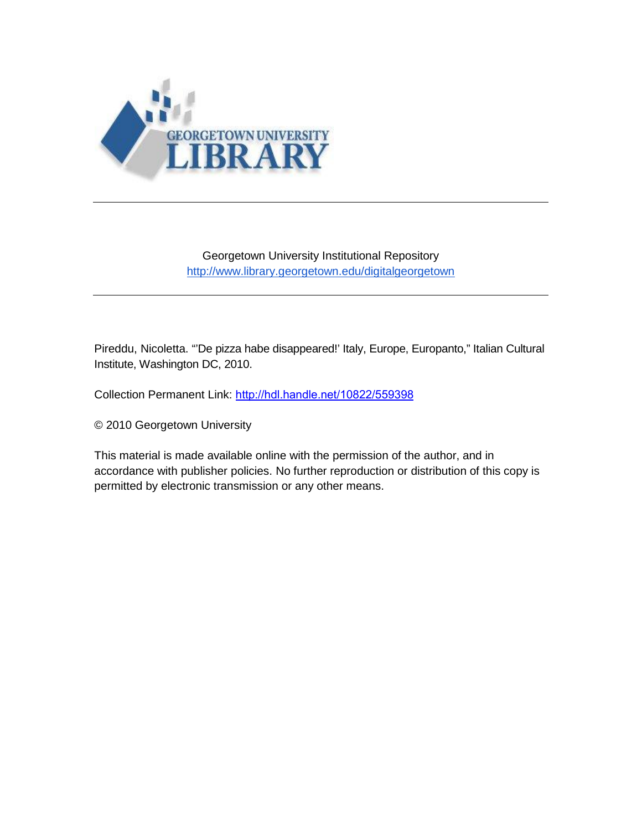

## Georgetown University Institutional Repository <http://www.library.georgetown.edu/digitalgeorgetown>

Pireddu, Nicoletta. "'De pizza habe disappeared!' Italy, Europe, Europanto," Italian Cultural Institute, Washington DC, 2010.

Collection Permanent Link: <http://hdl.handle.net/10822/559398>

© 2010 Georgetown University

This material is made available online with the permission of the author, and in accordance with publisher policies. No further reproduction or distribution of this copy is permitted by electronic transmission or any other means.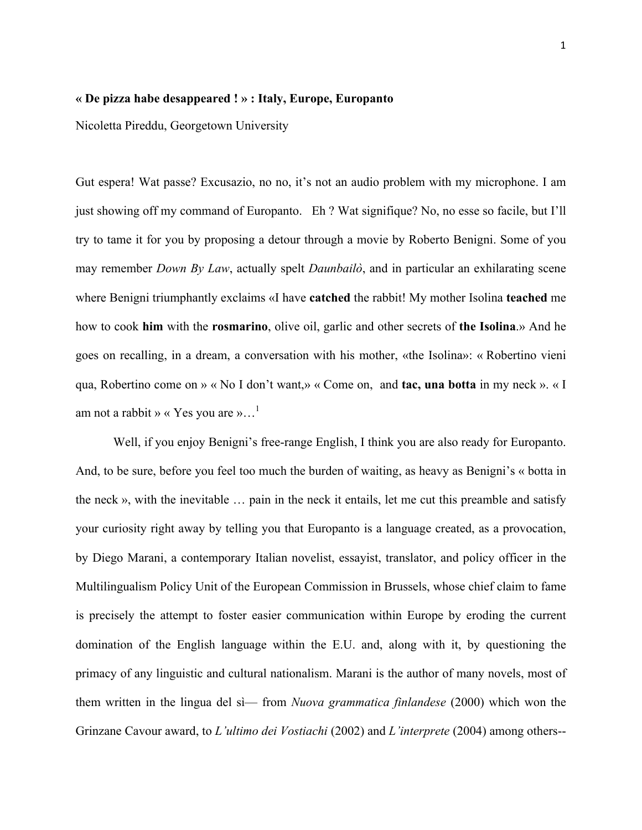## **« De pizza habe desappeared ! » : Italy, Europe, Europanto**

Nicoletta Pireddu, Georgetown University

Gut espera! Wat passe? Excusazio, no no, it's not an audio problem with my microphone. I am just showing off my command of Europanto. Eh ? Wat signifique? No, no esse so facile, but I'll try to tame it for you by proposing a detour through a movie by Roberto Benigni. Some of you may remember *Down By Law*, actually spelt *Daunbailò*, and in particular an exhilarating scene where Benigni triumphantly exclaims «I have **catched** the rabbit! My mother Isolina **teached** me how to cook **him** with the **rosmarino**, olive oil, garlic and other secrets of **the Isolina**.» And he goes on recalling, in a dream, a conversation with his mother, «the Isolina»: « Robertino vieni qua, Robertino come on » « No I don't want,» « Come on, and **tac, una botta** in my neck ». « I am not a rabbit » « Yes you are »...<sup>1</sup>

Well, if you enjoy Benigni's free-range English, I think you are also ready for Europanto. And, to be sure, before you feel too much the burden of waiting, as heavy as Benigni's « botta in the neck », with the inevitable … pain in the neck it entails, let me cut this preamble and satisfy your curiosity right away by telling you that Europanto is a language created, as a provocation, by Diego Marani, a contemporary Italian novelist, essayist, translator, and policy officer in the Multilingualism Policy Unit of the European Commission in Brussels, whose chief claim to fame is precisely the attempt to foster easier communication within Europe by eroding the current domination of the English language within the E.U. and, along with it, by questioning the primacy of any linguistic and cultural nationalism. Marani is the author of many novels, most of them written in the lingua del sì— from *Nuova grammatica finlandese* (2000) which won the Grinzane Cavour award, to *L'ultimo dei Vostiachi* (2002) and *L'interprete* (2004) among others--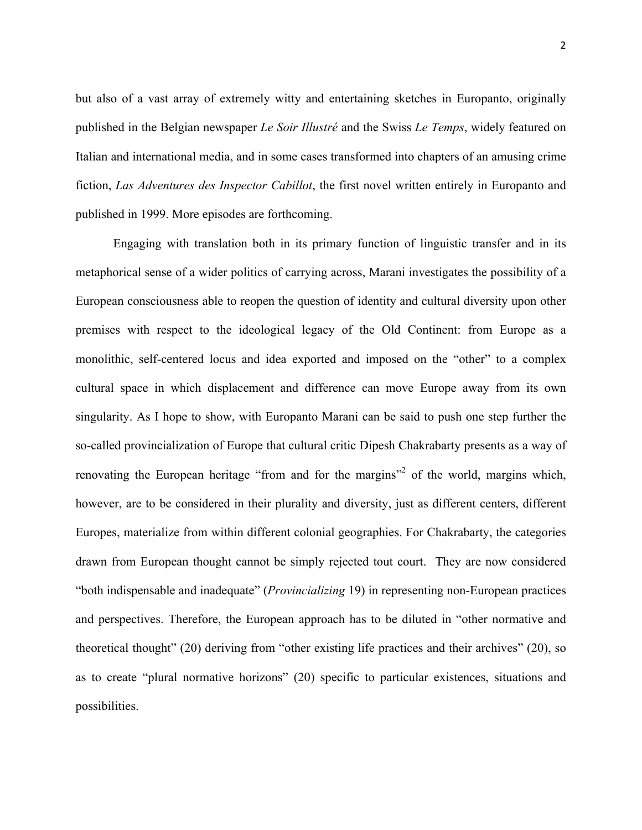but also of a vast array of extremely witty and entertaining sketches in Europanto, originally published in the Belgian newspaper *Le Soir Illustré* and the Swiss *Le Temps*, widely featured on Italian and international media, and in some cases transformed into chapters of an amusing crime fiction, *Las Adventures des Inspector Cabillot*, the first novel written entirely in Europanto and published in 1999. More episodes are forthcoming.

Engaging with translation both in its primary function of linguistic transfer and in its metaphorical sense of a wider politics of carrying across, Marani investigates the possibility of a European consciousness able to reopen the question of identity and cultural diversity upon other premises with respect to the ideological legacy of the Old Continent: from Europe as a monolithic, self-centered locus and idea exported and imposed on the "other" to a complex cultural space in which displacement and difference can move Europe away from its own singularity. As I hope to show, with Europanto Marani can be said to push one step further the so-called provincialization of Europe that cultural critic Dipesh Chakrabarty presents as a way of renovating the European heritage "from and for the margins"<sup>2</sup> of the world, margins which, however, are to be considered in their plurality and diversity, just as different centers, different Europes, materialize from within different colonial geographies. For Chakrabarty, the categories drawn from European thought cannot be simply rejected tout court. They are now considered "both indispensable and inadequate" (*Provincializing* 19) in representing non-European practices and perspectives. Therefore, the European approach has to be diluted in "other normative and theoretical thought" (20) deriving from "other existing life practices and their archives" (20), so as to create "plural normative horizons" (20) specific to particular existences, situations and possibilities.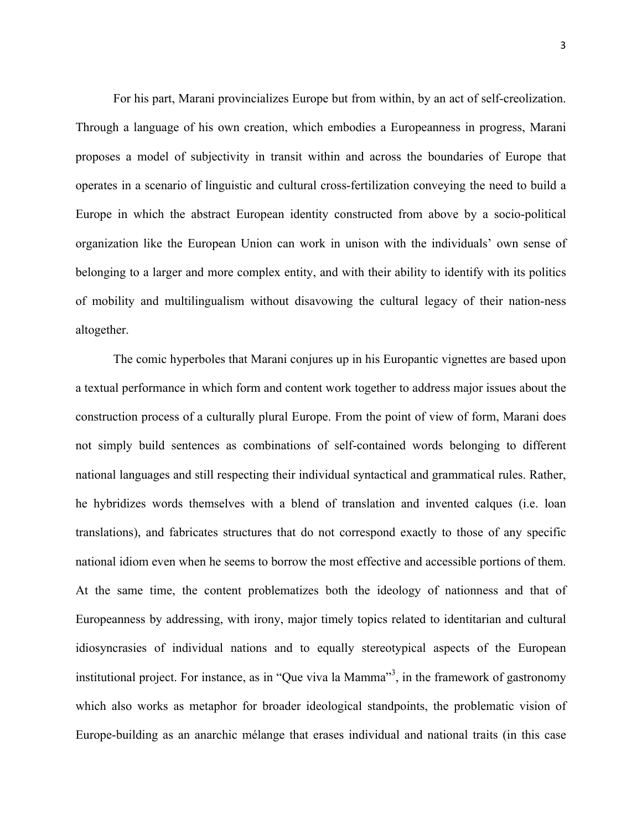For his part, Marani provincializes Europe but from within, by an act of self-creolization. Through a language of his own creation, which embodies a Europeanness in progress, Marani proposes a model of subjectivity in transit within and across the boundaries of Europe that operates in a scenario of linguistic and cultural cross-fertilization conveying the need to build a Europe in which the abstract European identity constructed from above by a socio-political organization like the European Union can work in unison with the individuals' own sense of belonging to a larger and more complex entity, and with their ability to identify with its politics of mobility and multilingualism without disavowing the cultural legacy of their nation-ness altogether.

The comic hyperboles that Marani conjures up in his Europantic vignettes are based upon a textual performance in which form and content work together to address major issues about the construction process of a culturally plural Europe. From the point of view of form, Marani does not simply build sentences as combinations of self-contained words belonging to different national languages and still respecting their individual syntactical and grammatical rules. Rather, he hybridizes words themselves with a blend of translation and invented calques (i.e. loan translations), and fabricates structures that do not correspond exactly to those of any specific national idiom even when he seems to borrow the most effective and accessible portions of them. At the same time, the content problematizes both the ideology of nationness and that of Europeanness by addressing, with irony, major timely topics related to identitarian and cultural idiosyncrasies of individual nations and to equally stereotypical aspects of the European institutional project. For instance, as in "Que viva la Mamma"<sup>3</sup>, in the framework of gastronomy which also works as metaphor for broader ideological standpoints, the problematic vision of Europe-building as an anarchic mélange that erases individual and national traits (in this case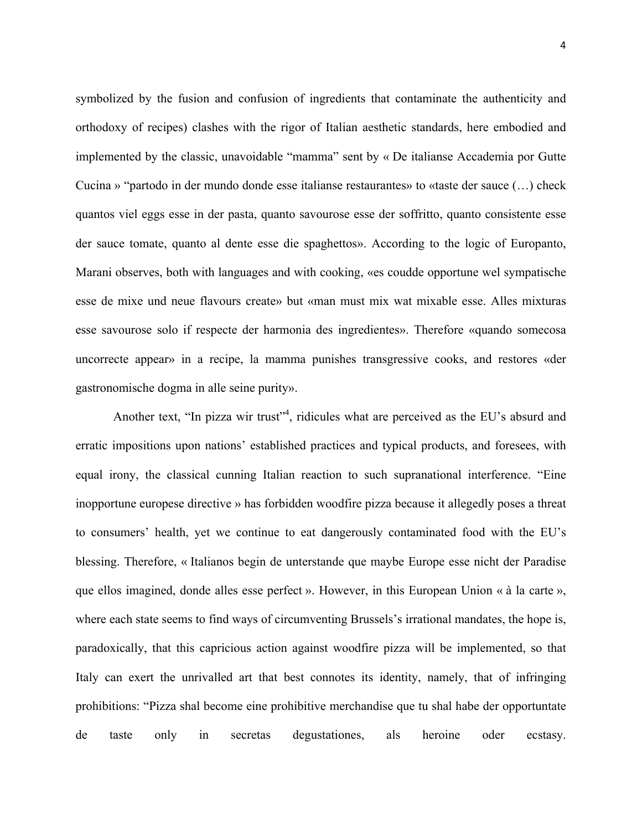symbolized by the fusion and confusion of ingredients that contaminate the authenticity and orthodoxy of recipes) clashes with the rigor of Italian aesthetic standards, here embodied and implemented by the classic, unavoidable "mamma" sent by « De italianse Accademia por Gutte Cucina » "partodo in der mundo donde esse italianse restaurantes» to «taste der sauce (…) check quantos viel eggs esse in der pasta, quanto savourose esse der soffritto, quanto consistente esse der sauce tomate, quanto al dente esse die spaghettos». According to the logic of Europanto, Marani observes, both with languages and with cooking, «es coudde opportune wel sympatische esse de mixe und neue flavours create» but «man must mix wat mixable esse. Alles mixturas esse savourose solo if respecte der harmonia des ingredientes». Therefore «quando somecosa uncorrecte appear» in a recipe, la mamma punishes transgressive cooks, and restores «der gastronomische dogma in alle seine purity».

Another text, "In pizza wir trust"<sup>4</sup>, ridicules what are perceived as the EU's absurd and erratic impositions upon nations' established practices and typical products, and foresees, with equal irony, the classical cunning Italian reaction to such supranational interference. "Eine inopportune europese directive » has forbidden woodfire pizza because it allegedly poses a threat to consumers' health, yet we continue to eat dangerously contaminated food with the EU's blessing. Therefore, « Italianos begin de unterstande que maybe Europe esse nicht der Paradise que ellos imagined, donde alles esse perfect ». However, in this European Union « à la carte », where each state seems to find ways of circumventing Brussels's irrational mandates, the hope is, paradoxically, that this capricious action against woodfire pizza will be implemented, so that Italy can exert the unrivalled art that best connotes its identity, namely, that of infringing prohibitions: "Pizza shal become eine prohibitive merchandise que tu shal habe der opportuntate de taste only in secretas degustationes, als heroine oder ecstasy.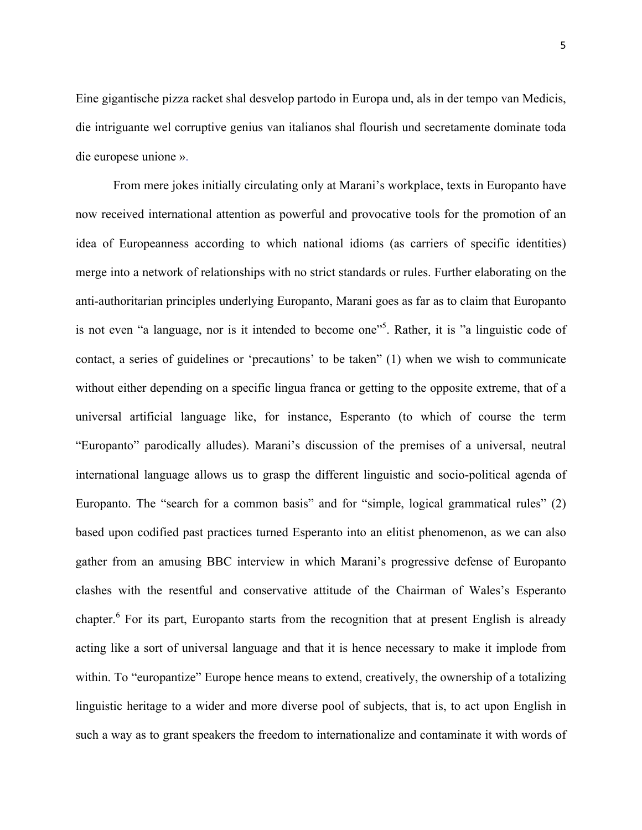Eine gigantische pizza racket shal desvelop partodo in Europa und, als in der tempo van Medicis, die intriguante wel corruptive genius van italianos shal flourish und secretamente dominate toda die europese unione ».

From mere jokes initially circulating only at Marani's workplace, texts in Europanto have now received international attention as powerful and provocative tools for the promotion of an idea of Europeanness according to which national idioms (as carriers of specific identities) merge into a network of relationships with no strict standards or rules. Further elaborating on the anti-authoritarian principles underlying Europanto, Marani goes as far as to claim that Europanto is not even "a language, nor is it intended to become one"<sup>5</sup>. Rather, it is "a linguistic code of contact, a series of guidelines or 'precautions' to be taken" (1) when we wish to communicate without either depending on a specific lingua franca or getting to the opposite extreme, that of a universal artificial language like, for instance, Esperanto (to which of course the term "Europanto" parodically alludes). Marani's discussion of the premises of a universal, neutral international language allows us to grasp the different linguistic and socio-political agenda of Europanto. The "search for a common basis" and for "simple, logical grammatical rules" (2) based upon codified past practices turned Esperanto into an elitist phenomenon, as we can also gather from an amusing BBC interview in which Marani's progressive defense of Europanto clashes with the resentful and conservative attitude of the Chairman of Wales's Esperanto chapter.<sup>6</sup> For its part, Europanto starts from the recognition that at present English is already acting like a sort of universal language and that it is hence necessary to make it implode from within. To "europantize" Europe hence means to extend, creatively, the ownership of a totalizing linguistic heritage to a wider and more diverse pool of subjects, that is, to act upon English in such a way as to grant speakers the freedom to internationalize and contaminate it with words of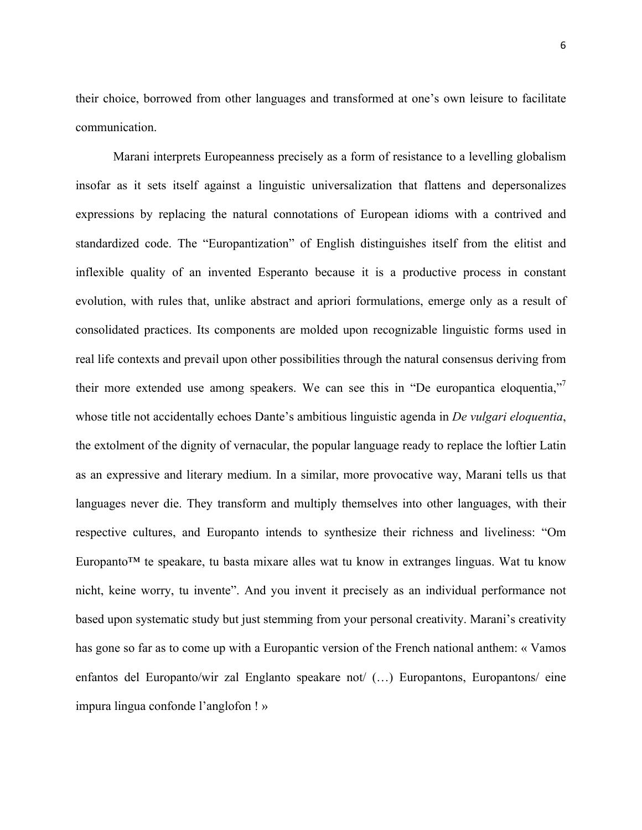their choice, borrowed from other languages and transformed at one's own leisure to facilitate communication.

Marani interprets Europeanness precisely as a form of resistance to a levelling globalism insofar as it sets itself against a linguistic universalization that flattens and depersonalizes expressions by replacing the natural connotations of European idioms with a contrived and standardized code. The "Europantization" of English distinguishes itself from the elitist and inflexible quality of an invented Esperanto because it is a productive process in constant evolution, with rules that, unlike abstract and apriori formulations, emerge only as a result of consolidated practices. Its components are molded upon recognizable linguistic forms used in real life contexts and prevail upon other possibilities through the natural consensus deriving from their more extended use among speakers. We can see this in "De europantica eloquentia," whose title not accidentally echoes Dante's ambitious linguistic agenda in *De vulgari eloquentia*, the extolment of the dignity of vernacular, the popular language ready to replace the loftier Latin as an expressive and literary medium. In a similar, more provocative way, Marani tells us that languages never die. They transform and multiply themselves into other languages, with their respective cultures, and Europanto intends to synthesize their richness and liveliness: "Om Europanto<sup>™</sup> te speakare, tu basta mixare alles wat tu know in extranges linguas. Wat tu know nicht, keine worry, tu invente". And you invent it precisely as an individual performance not based upon systematic study but just stemming from your personal creativity. Marani's creativity has gone so far as to come up with a Europantic version of the French national anthem: « Vamos enfantos del Europanto/wir zal Englanto speakare not/ (…) Europantons, Europantons/ eine impura lingua confonde l'anglofon ! »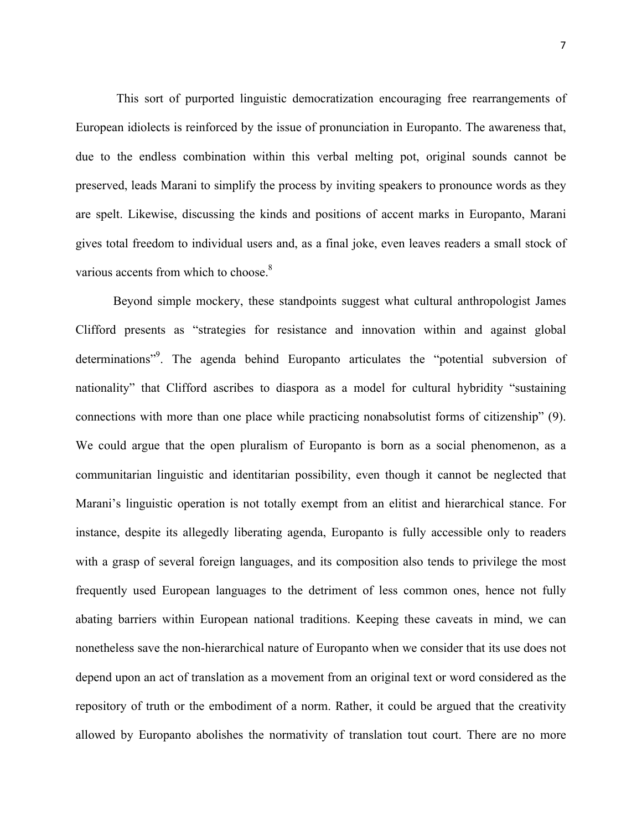This sort of purported linguistic democratization encouraging free rearrangements of European idiolects is reinforced by the issue of pronunciation in Europanto. The awareness that, due to the endless combination within this verbal melting pot, original sounds cannot be preserved, leads Marani to simplify the process by inviting speakers to pronounce words as they are spelt. Likewise, discussing the kinds and positions of accent marks in Europanto, Marani gives total freedom to individual users and, as a final joke, even leaves readers a small stock of various accents from which to choose.<sup>8</sup>

Beyond simple mockery, these standpoints suggest what cultural anthropologist James Clifford presents as "strategies for resistance and innovation within and against global determinations"<sup>9</sup>. The agenda behind Europanto articulates the "potential subversion of nationality" that Clifford ascribes to diaspora as a model for cultural hybridity "sustaining connections with more than one place while practicing nonabsolutist forms of citizenship" (9). We could argue that the open pluralism of Europanto is born as a social phenomenon, as a communitarian linguistic and identitarian possibility, even though it cannot be neglected that Marani's linguistic operation is not totally exempt from an elitist and hierarchical stance. For instance, despite its allegedly liberating agenda, Europanto is fully accessible only to readers with a grasp of several foreign languages, and its composition also tends to privilege the most frequently used European languages to the detriment of less common ones, hence not fully abating barriers within European national traditions. Keeping these caveats in mind, we can nonetheless save the non-hierarchical nature of Europanto when we consider that its use does not depend upon an act of translation as a movement from an original text or word considered as the repository of truth or the embodiment of a norm. Rather, it could be argued that the creativity allowed by Europanto abolishes the normativity of translation tout court. There are no more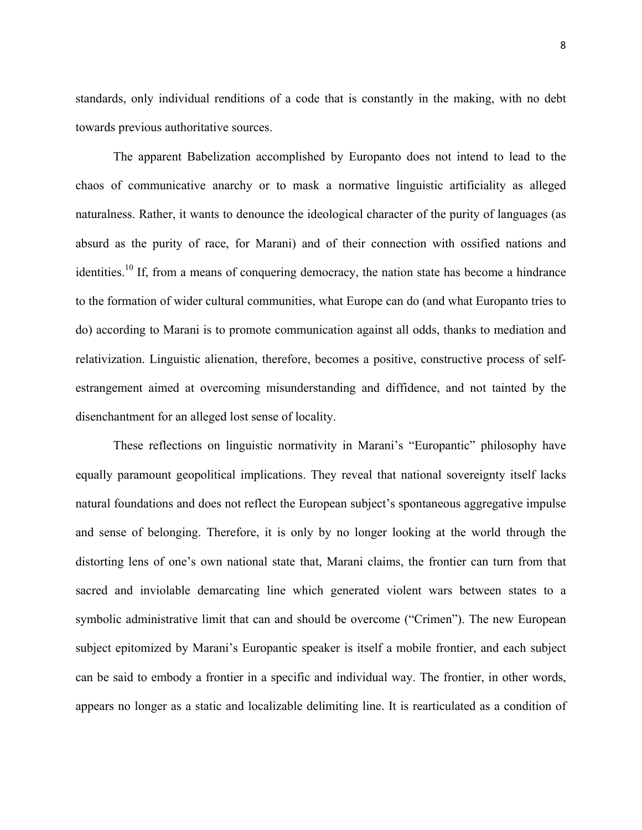standards, only individual renditions of a code that is constantly in the making, with no debt towards previous authoritative sources.

The apparent Babelization accomplished by Europanto does not intend to lead to the chaos of communicative anarchy or to mask a normative linguistic artificiality as alleged naturalness. Rather, it wants to denounce the ideological character of the purity of languages (as absurd as the purity of race, for Marani) and of their connection with ossified nations and identities.<sup>10</sup> If, from a means of conquering democracy, the nation state has become a hindrance to the formation of wider cultural communities, what Europe can do (and what Europanto tries to do) according to Marani is to promote communication against all odds, thanks to mediation and relativization. Linguistic alienation, therefore, becomes a positive, constructive process of selfestrangement aimed at overcoming misunderstanding and diffidence, and not tainted by the disenchantment for an alleged lost sense of locality.

These reflections on linguistic normativity in Marani's "Europantic" philosophy have equally paramount geopolitical implications. They reveal that national sovereignty itself lacks natural foundations and does not reflect the European subject's spontaneous aggregative impulse and sense of belonging. Therefore, it is only by no longer looking at the world through the distorting lens of one's own national state that, Marani claims, the frontier can turn from that sacred and inviolable demarcating line which generated violent wars between states to a symbolic administrative limit that can and should be overcome ("Crimen"). The new European subject epitomized by Marani's Europantic speaker is itself a mobile frontier, and each subject can be said to embody a frontier in a specific and individual way. The frontier, in other words, appears no longer as a static and localizable delimiting line. It is rearticulated as a condition of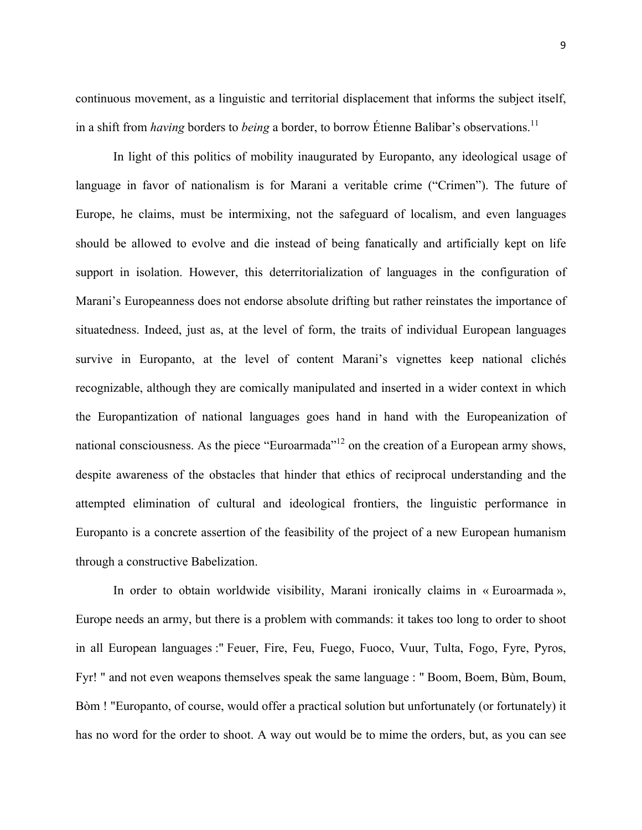continuous movement, as a linguistic and territorial displacement that informs the subject itself,

In light of this politics of mobility inaugurated by Europanto, any ideological usage of language in favor of nationalism is for Marani a veritable crime ("Crimen"). The future of Europe, he claims, must be intermixing, not the safeguard of localism, and even languages should be allowed to evolve and die instead of being fanatically and artificially kept on life support in isolation. However, this deterritorialization of languages in the configuration of Marani's Europeanness does not endorse absolute drifting but rather reinstates the importance of situatedness. Indeed, just as, at the level of form, the traits of individual European languages survive in Europanto, at the level of content Marani's vignettes keep national clichés recognizable, although they are comically manipulated and inserted in a wider context in which the Europantization of national languages goes hand in hand with the Europeanization of national consciousness. As the piece "Euroarmada"<sup>12</sup> on the creation of a European army shows, despite awareness of the obstacles that hinder that ethics of reciprocal understanding and the attempted elimination of cultural and ideological frontiers, the linguistic performance in Europanto is a concrete assertion of the feasibility of the project of a new European humanism through a constructive Babelization.

in a shift from *having* borders to *being* a border, to borrow Étienne Balibar's observations.<sup>11</sup>

In order to obtain worldwide visibility, Marani ironically claims in « Euroarmada », Europe needs an army, but there is a problem with commands: it takes too long to order to shoot in all European languages :" Feuer, Fire, Feu, Fuego, Fuoco, Vuur, Tulta, Fogo, Fyre, Pyros, Fyr! " and not even weapons themselves speak the same language : " Boom, Boem, Bùm, Boum, Bòm ! "Europanto, of course, would offer a practical solution but unfortunately (or fortunately) it has no word for the order to shoot. A way out would be to mime the orders, but, as you can see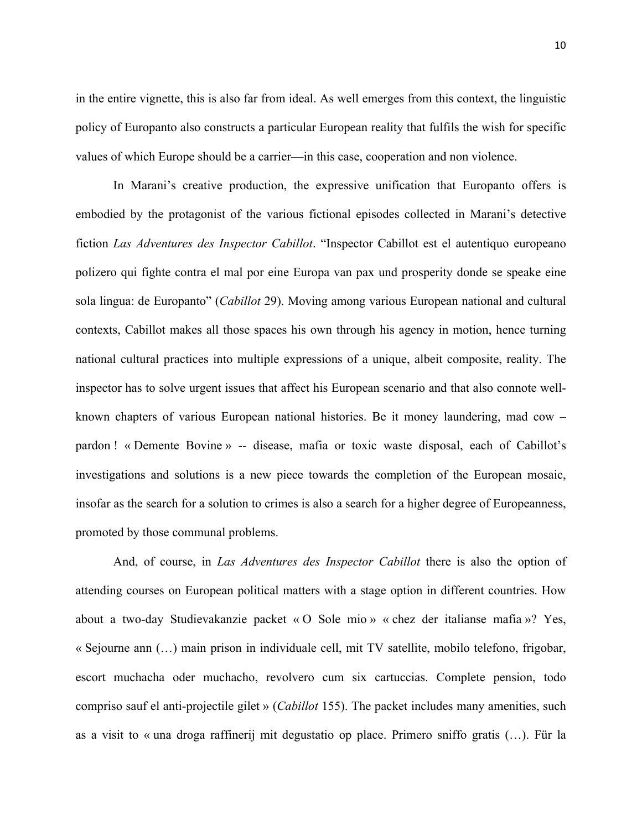in the entire vignette, this is also far from ideal. As well emerges from this context, the linguistic policy of Europanto also constructs a particular European reality that fulfils the wish for specific values of which Europe should be a carrier—in this case, cooperation and non violence.

In Marani's creative production, the expressive unification that Europanto offers is embodied by the protagonist of the various fictional episodes collected in Marani's detective fiction *Las Adventures des Inspector Cabillot*. "Inspector Cabillot est el autentiquo europeano polizero qui fighte contra el mal por eine Europa van pax und prosperity donde se speake eine sola lingua: de Europanto" (*Cabillot* 29). Moving among various European national and cultural contexts, Cabillot makes all those spaces his own through his agency in motion, hence turning national cultural practices into multiple expressions of a unique, albeit composite, reality. The inspector has to solve urgent issues that affect his European scenario and that also connote wellknown chapters of various European national histories. Be it money laundering, mad cow – pardon ! « Demente Bovine » -- disease, mafia or toxic waste disposal, each of Cabillot's investigations and solutions is a new piece towards the completion of the European mosaic, insofar as the search for a solution to crimes is also a search for a higher degree of Europeanness, promoted by those communal problems.

And, of course, in *Las Adventures des Inspector Cabillot* there is also the option of attending courses on European political matters with a stage option in different countries. How about a two-day Studievakanzie packet « O Sole mio » « chez der italianse mafia »? Yes, « Sejourne ann (…) main prison in individuale cell, mit TV satellite, mobilo telefono, frigobar, escort muchacha oder muchacho, revolvero cum six cartuccias. Complete pension, todo compriso sauf el anti-projectile gilet » (*Cabillot* 155). The packet includes many amenities, such as a visit to « una droga raffinerij mit degustatio op place. Primero sniffo gratis (…). Für la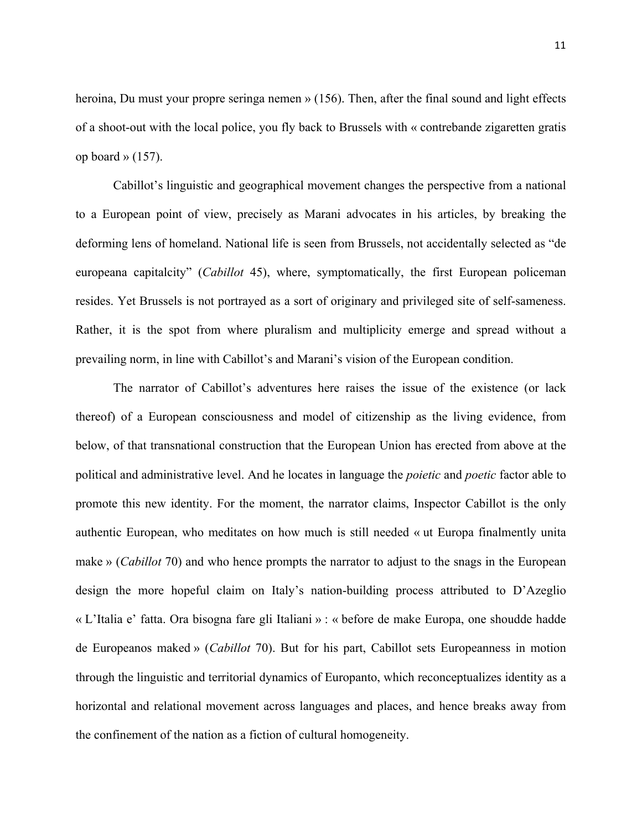heroina, Du must your propre seringa nemen » (156). Then, after the final sound and light effects of a shoot-out with the local police, you fly back to Brussels with « contrebande zigaretten gratis op board »  $(157)$ .

Cabillot's linguistic and geographical movement changes the perspective from a national to a European point of view, precisely as Marani advocates in his articles, by breaking the deforming lens of homeland. National life is seen from Brussels, not accidentally selected as "de europeana capitalcity" (*Cabillot* 45), where, symptomatically, the first European policeman resides. Yet Brussels is not portrayed as a sort of originary and privileged site of self-sameness. Rather, it is the spot from where pluralism and multiplicity emerge and spread without a prevailing norm, in line with Cabillot's and Marani's vision of the European condition.

The narrator of Cabillot's adventures here raises the issue of the existence (or lack thereof) of a European consciousness and model of citizenship as the living evidence, from below, of that transnational construction that the European Union has erected from above at the political and administrative level. And he locates in language the *poietic* and *poetic* factor able to promote this new identity. For the moment, the narrator claims, Inspector Cabillot is the only authentic European, who meditates on how much is still needed « ut Europa finalmently unita make » (*Cabillot* 70) and who hence prompts the narrator to adjust to the snags in the European design the more hopeful claim on Italy's nation-building process attributed to D'Azeglio « L'Italia e' fatta. Ora bisogna fare gli Italiani » : « before de make Europa, one shoudde hadde de Europeanos maked » (*Cabillot* 70). But for his part, Cabillot sets Europeanness in motion through the linguistic and territorial dynamics of Europanto, which reconceptualizes identity as a horizontal and relational movement across languages and places, and hence breaks away from the confinement of the nation as a fiction of cultural homogeneity.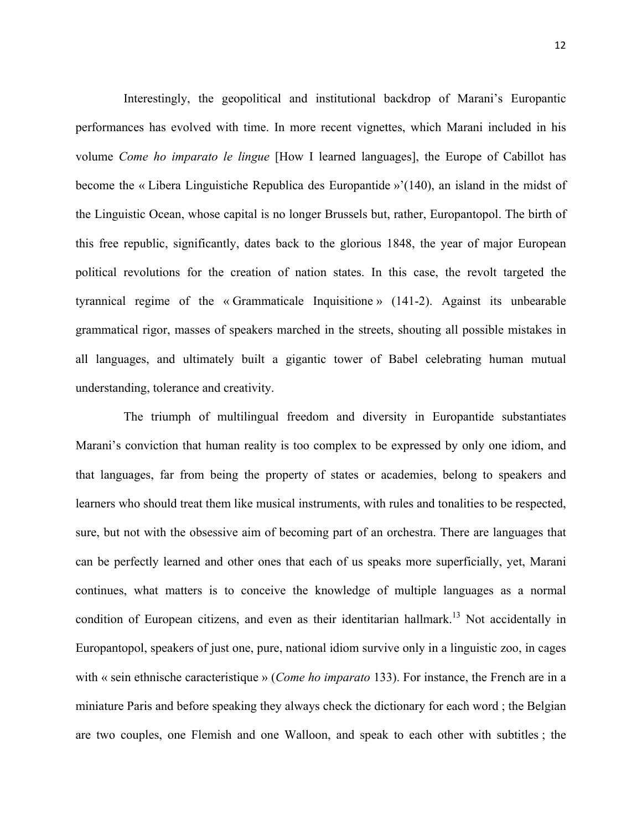Interestingly, the geopolitical and institutional backdrop of Marani's Europantic performances has evolved with time. In more recent vignettes, which Marani included in his volume *Come ho imparato le lingue* [How I learned languages], the Europe of Cabillot has become the « Libera Linguistiche Republica des Europantide »'(140), an island in the midst of the Linguistic Ocean, whose capital is no longer Brussels but, rather, Europantopol. The birth of this free republic, significantly, dates back to the glorious 1848, the year of major European political revolutions for the creation of nation states. In this case, the revolt targeted the tyrannical regime of the « Grammaticale Inquisitione » (141-2). Against its unbearable grammatical rigor, masses of speakers marched in the streets, shouting all possible mistakes in all languages, and ultimately built a gigantic tower of Babel celebrating human mutual understanding, tolerance and creativity.

The triumph of multilingual freedom and diversity in Europantide substantiates Marani's conviction that human reality is too complex to be expressed by only one idiom, and that languages, far from being the property of states or academies, belong to speakers and learners who should treat them like musical instruments, with rules and tonalities to be respected, sure, but not with the obsessive aim of becoming part of an orchestra. There are languages that can be perfectly learned and other ones that each of us speaks more superficially, yet, Marani continues, what matters is to conceive the knowledge of multiple languages as a normal condition of European citizens, and even as their identitarian hallmark.<sup>13</sup> Not accidentally in Europantopol, speakers of just one, pure, national idiom survive only in a linguistic zoo, in cages with « sein ethnische caracteristique » (*Come ho imparato* 133). For instance, the French are in a miniature Paris and before speaking they always check the dictionary for each word ; the Belgian are two couples, one Flemish and one Walloon, and speak to each other with subtitles ; the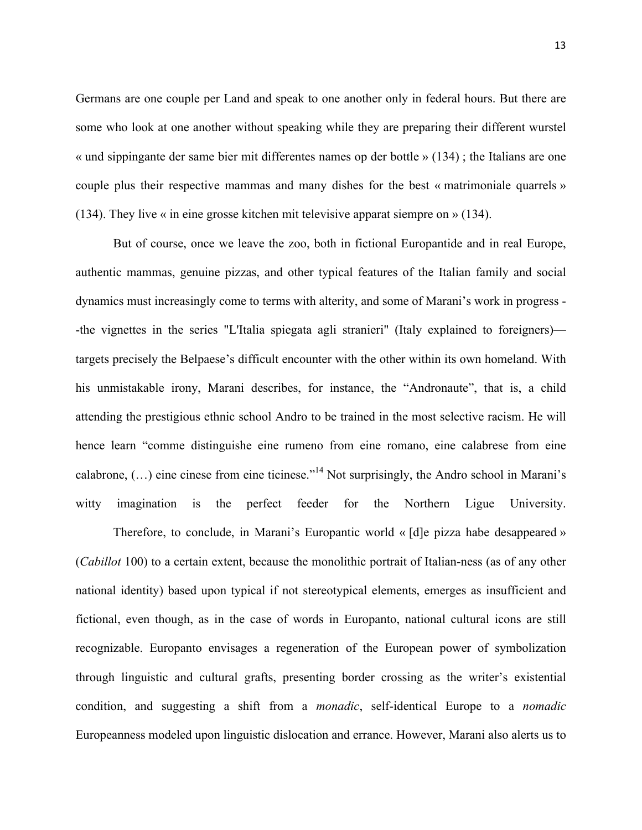Germans are one couple per Land and speak to one another only in federal hours. But there are some who look at one another without speaking while they are preparing their different wurstel « und sippingante der same bier mit differentes names op der bottle » (134) ; the Italians are one couple plus their respective mammas and many dishes for the best « matrimoniale quarrels » (134). They live « in eine grosse kitchen mit televisive apparat siempre on » (134).

But of course, once we leave the zoo, both in fictional Europantide and in real Europe, authentic mammas, genuine pizzas, and other typical features of the Italian family and social dynamics must increasingly come to terms with alterity, and some of Marani's work in progress - -the vignettes in the series "L'Italia spiegata agli stranieri" (Italy explained to foreigners) targets precisely the Belpaese's difficult encounter with the other within its own homeland. With his unmistakable irony, Marani describes, for instance, the "Andronaute", that is, a child attending the prestigious ethnic school Andro to be trained in the most selective racism. He will hence learn "comme distinguishe eine rumeno from eine romano, eine calabrese from eine calabrone,  $(...)$  eine cinese from eine ticinese."<sup>14</sup> Not surprisingly, the Andro school in Marani's witty imagination is the perfect feeder for the Northern Ligue University.

Therefore, to conclude, in Marani's Europantic world « [d]e pizza habe desappeared » (*Cabillot* 100) to a certain extent, because the monolithic portrait of Italian-ness (as of any other national identity) based upon typical if not stereotypical elements, emerges as insufficient and fictional, even though, as in the case of words in Europanto, national cultural icons are still recognizable. Europanto envisages a regeneration of the European power of symbolization through linguistic and cultural grafts, presenting border crossing as the writer's existential condition, and suggesting a shift from a *monadic*, self-identical Europe to a *nomadic* Europeanness modeled upon linguistic dislocation and errance. However, Marani also alerts us to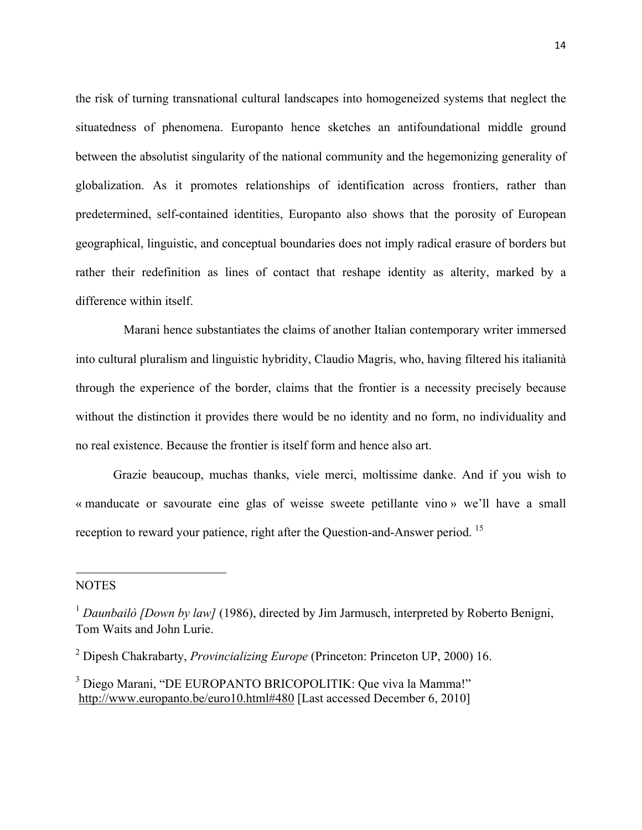the risk of turning transnational cultural landscapes into homogeneized systems that neglect the situatedness of phenomena. Europanto hence sketches an antifoundational middle ground between the absolutist singularity of the national community and the hegemonizing generality of globalization. As it promotes relationships of identification across frontiers, rather than predetermined, self-contained identities, Europanto also shows that the porosity of European geographical, linguistic, and conceptual boundaries does not imply radical erasure of borders but rather their redefinition as lines of contact that reshape identity as alterity, marked by a difference within itself.

Marani hence substantiates the claims of another Italian contemporary writer immersed into cultural pluralism and linguistic hybridity, Claudio Magris, who, having filtered his italianità through the experience of the border, claims that the frontier is a necessity precisely because without the distinction it provides there would be no identity and no form, no individuality and no real existence. Because the frontier is itself form and hence also art.

Grazie beaucoup, muchas thanks, viele merci, moltissime danke. And if you wish to « manducate or savourate eine glas of weisse sweete petillante vino » we'll have a small reception to reward your patience, right after the Question-and-Answer period. <sup>15</sup>

## **NOTES**

""""""""""""""""""""""""""""""""""""""""""""""""""""""""""""

<sup>&</sup>lt;sup>1</sup> Daunbailò [Down by law] (1986), directed by Jim Jarmusch, interpreted by Roberto Benigni, Tom Waits and John Lurie.

<sup>2</sup> Dipesh Chakrabarty, *Provincializing Europe* (Princeton: Princeton UP, 2000) 16.

<sup>&</sup>lt;sup>3</sup> Diego Marani, "DE EUROPANTO BRICOPOLITIK: Que viva la Mamma!" http://www.europanto.be/euro10.html#480 [Last accessed December 6, 2010]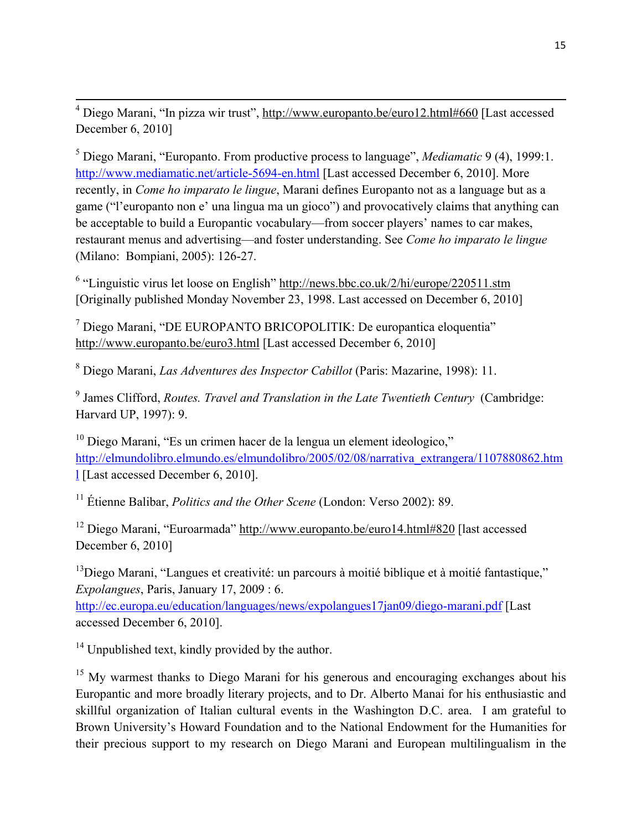<sup>4</sup> Diego Marani, "In pizza wir trust", http://www.europanto.be/euro12.html#660 [Last accessed December 6, 2010]

<sup>5</sup> Diego Marani, "Europanto. From productive process to language", *Mediamatic* 9 (4), 1999:1. http://www.mediamatic.net/article-5694-en.html [Last accessed December 6, 2010]. More recently, in *Come ho imparato le lingue*, Marani defines Europanto not as a language but as a game ("l'europanto non e' una lingua ma un gioco") and provocatively claims that anything can be acceptable to build a Europantic vocabulary—from soccer players' names to car makes, restaurant menus and advertising—and foster understanding. See *Come ho imparato le lingue* (Milano: Bompiani, 2005): 126-27.

<sup>6</sup> "Linguistic virus let loose on English" http://news.bbc.co.uk/2/hi/europe/220511.stm [Originally published Monday November 23, 1998. Last accessed on December 6, 2010]

<sup>7</sup> Diego Marani, "DE EUROPANTO BRICOPOLITIK: De europantica eloquentia" http://www.europanto.be/euro3.html [Last accessed December 6, 2010]

<sup>8</sup> Diego Marani, *Las Adventures des Inspector Cabillot* (Paris: Mazarine, 1998): 11.

<sup>9</sup> James Clifford, *Routes. Travel and Translation in the Late Twentieth Century* (Cambridge: Harvard UP, 1997): 9.

<sup>10</sup> Diego Marani, "Es un crimen hacer de la lengua un element ideologico," http://elmundolibro.elmundo.es/elmundolibro/2005/02/08/narrativa\_extrangera/1107880862.htm l [Last accessed December 6, 2010].

<sup>11</sup> Étienne Balibar, *Politics and the Other Scene* (London: Verso 2002): 89.

12 Diego Marani, "Euroarmada" http://www.europanto.be/euro14.html#820 [last accessed December 6, 2010]

<sup>13</sup>Diego Marani, "Langues et creativité: un parcours à moitié biblique et à moitié fantastique," *Expolangues*, Paris, January 17, 2009 : 6.

http://ec.europa.eu/education/languages/news/expolangues17jan09/diego-marani.pdf [Last accessed December 6, 2010].

<sup>14</sup> Unpublished text, kindly provided by the author.

<sup>15</sup> My warmest thanks to Diego Marani for his generous and encouraging exchanges about his Europantic and more broadly literary projects, and to Dr. Alberto Manai for his enthusiastic and skillful organization of Italian cultural events in the Washington D.C. area. I am grateful to Brown University's Howard Foundation and to the National Endowment for the Humanities for their precious support to my research on Diego Marani and European multilingualism in the